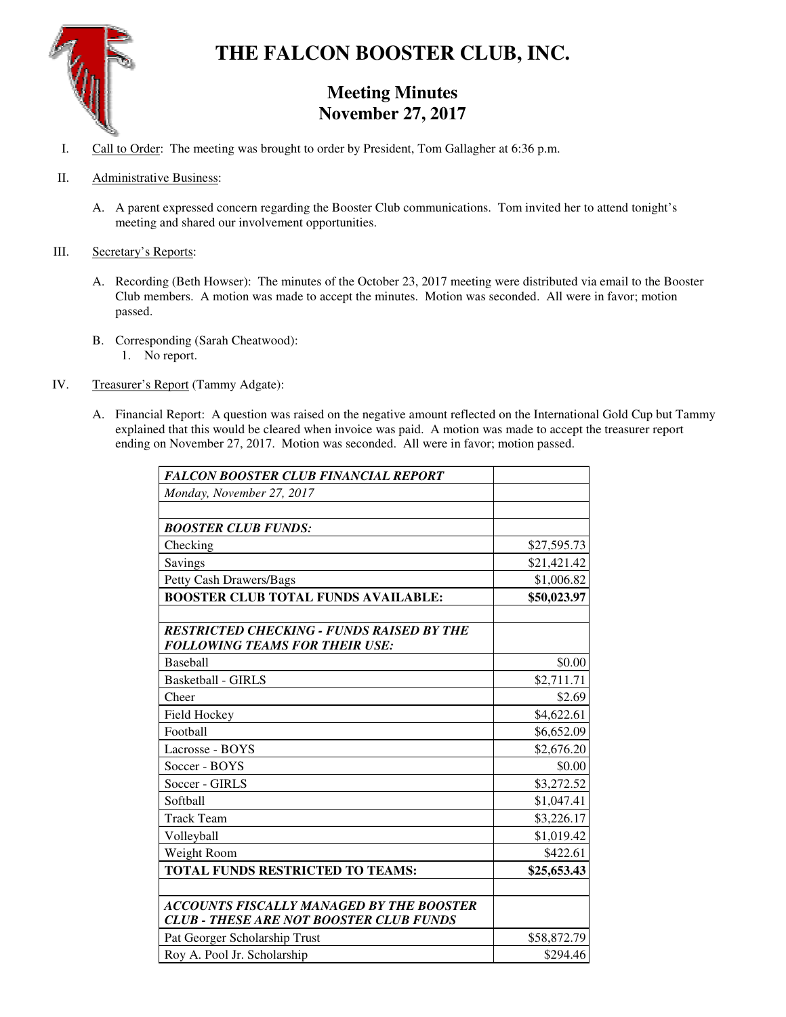

# **THE FALCON BOOSTER CLUB, INC.**

## **Meeting Minutes November 27, 2017**

- I. Call to Order: The meeting was brought to order by President, Tom Gallagher at 6:36 p.m.
- II. Administrative Business:
	- A. A parent expressed concern regarding the Booster Club communications. Tom invited her to attend tonight's meeting and shared our involvement opportunities.
- III. Secretary's Reports:
	- A. Recording (Beth Howser): The minutes of the October 23, 2017 meeting were distributed via email to the Booster Club members. A motion was made to accept the minutes. Motion was seconded. All were in favor; motion passed.
	- B. Corresponding (Sarah Cheatwood): 1. No report.
- IV. Treasurer's Report (Tammy Adgate):
	- A. Financial Report: A question was raised on the negative amount reflected on the International Gold Cup but Tammy explained that this would be cleared when invoice was paid. A motion was made to accept the treasurer report ending on November 27, 2017. Motion was seconded. All were in favor; motion passed.

| <b>FALCON BOOSTER CLUB FINANCIAL REPORT</b>                                                |             |
|--------------------------------------------------------------------------------------------|-------------|
| Monday, November 27, 2017                                                                  |             |
|                                                                                            |             |
| <b>BOOSTER CLUB FUNDS:</b>                                                                 |             |
| Checking                                                                                   | \$27,595.73 |
| Savings                                                                                    | \$21,421.42 |
| Petty Cash Drawers/Bags                                                                    | \$1,006.82  |
| <b>BOOSTER CLUB TOTAL FUNDS AVAILABLE:</b>                                                 | \$50,023.97 |
| <b>RESTRICTED CHECKING - FUNDS RAISED BY THE</b><br><b>FOLLOWING TEAMS FOR THEIR USE:</b>  |             |
| Baseball                                                                                   | \$0.00      |
| <b>Basketball - GIRLS</b>                                                                  | \$2,711.71  |
| Cheer                                                                                      | \$2.69      |
| Field Hockey                                                                               | \$4,622.61  |
| Football                                                                                   | \$6,652.09  |
| Lacrosse - BOYS                                                                            | \$2,676.20  |
| Soccer - BOYS                                                                              | \$0.00      |
| Soccer - GIRLS                                                                             | \$3,272.52  |
| Softball                                                                                   | \$1,047.41  |
| <b>Track Team</b>                                                                          | \$3,226.17  |
| Volleyball                                                                                 | \$1,019.42  |
| Weight Room                                                                                | \$422.61    |
| <b>TOTAL FUNDS RESTRICTED TO TEAMS:</b>                                                    | \$25,653.43 |
| ACCOUNTS FISCALLY MANAGED BY THE BOOSTER<br><b>CLUB - THESE ARE NOT BOOSTER CLUB FUNDS</b> |             |
| Pat Georger Scholarship Trust                                                              | \$58,872.79 |
| Roy A. Pool Jr. Scholarship                                                                | \$294.46    |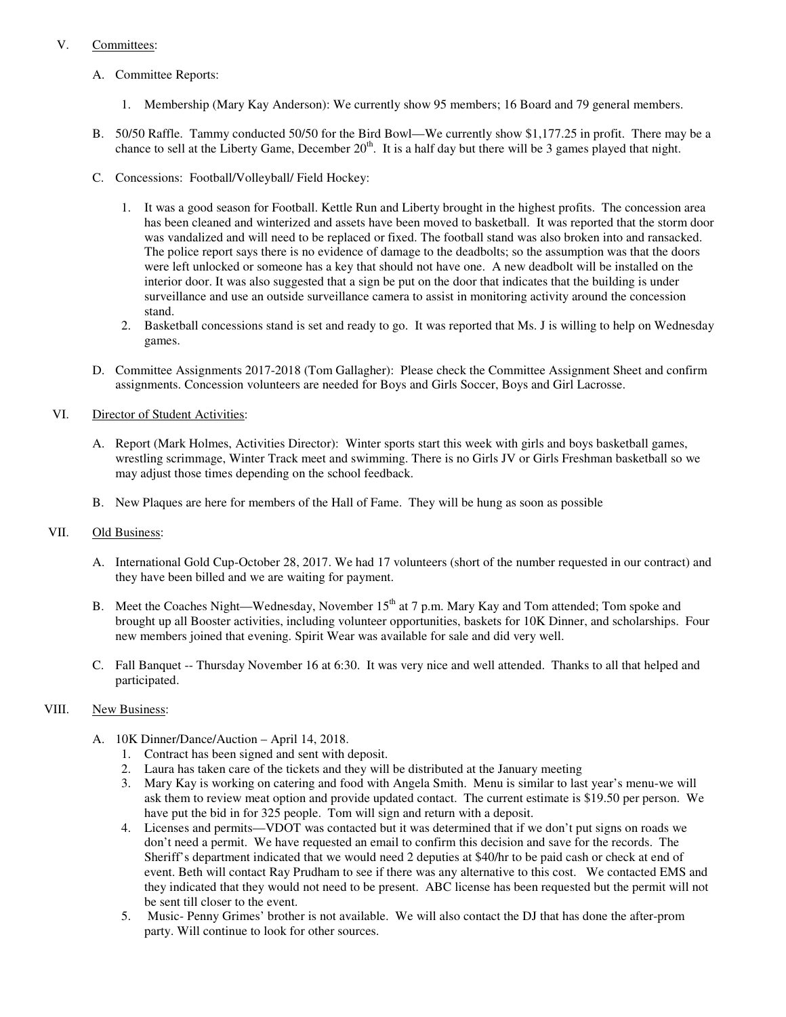### V. Committees:

- A. Committee Reports:
	- 1. Membership (Mary Kay Anderson): We currently show 95 members; 16 Board and 79 general members.
- B. 50/50 Raffle. Tammy conducted 50/50 for the Bird Bowl—We currently show \$1,177.25 in profit. There may be a chance to sell at the Liberty Game, December  $20<sup>th</sup>$ . It is a half day but there will be 3 games played that night.
- C. Concessions: Football/Volleyball/ Field Hockey:
	- 1. It was a good season for Football. Kettle Run and Liberty brought in the highest profits. The concession area has been cleaned and winterized and assets have been moved to basketball. It was reported that the storm door was vandalized and will need to be replaced or fixed. The football stand was also broken into and ransacked. The police report says there is no evidence of damage to the deadbolts; so the assumption was that the doors were left unlocked or someone has a key that should not have one. A new deadbolt will be installed on the interior door. It was also suggested that a sign be put on the door that indicates that the building is under surveillance and use an outside surveillance camera to assist in monitoring activity around the concession stand.
	- 2. Basketball concessions stand is set and ready to go. It was reported that Ms. J is willing to help on Wednesday games.
- D. Committee Assignments 2017-2018 (Tom Gallagher): Please check the Committee Assignment Sheet and confirm assignments. Concession volunteers are needed for Boys and Girls Soccer, Boys and Girl Lacrosse.

#### VI. Director of Student Activities:

- A. Report (Mark Holmes, Activities Director): Winter sports start this week with girls and boys basketball games, wrestling scrimmage, Winter Track meet and swimming. There is no Girls JV or Girls Freshman basketball so we may adjust those times depending on the school feedback.
- B. New Plaques are here for members of the Hall of Fame. They will be hung as soon as possible

#### VII. Old Business:

- A. International Gold Cup-October 28, 2017. We had 17 volunteers (short of the number requested in our contract) and they have been billed and we are waiting for payment.
- B. Meet the Coaches Night—Wednesday, November 15<sup>th</sup> at 7 p.m. Mary Kay and Tom attended; Tom spoke and brought up all Booster activities, including volunteer opportunities, baskets for 10K Dinner, and scholarships. Four new members joined that evening. Spirit Wear was available for sale and did very well.
- C. Fall Banquet -- Thursday November 16 at 6:30. It was very nice and well attended. Thanks to all that helped and participated.

#### VIII. New Business:

- A. 10K Dinner/Dance/Auction April 14, 2018.
	- 1. Contract has been signed and sent with deposit.
	- 2. Laura has taken care of the tickets and they will be distributed at the January meeting
	- 3. Mary Kay is working on catering and food with Angela Smith. Menu is similar to last year's menu-we will ask them to review meat option and provide updated contact. The current estimate is \$19.50 per person. We have put the bid in for 325 people. Tom will sign and return with a deposit.
	- 4. Licenses and permits—VDOT was contacted but it was determined that if we don't put signs on roads we don't need a permit. We have requested an email to confirm this decision and save for the records. The Sheriff's department indicated that we would need 2 deputies at \$40/hr to be paid cash or check at end of event. Beth will contact Ray Prudham to see if there was any alternative to this cost. We contacted EMS and they indicated that they would not need to be present. ABC license has been requested but the permit will not be sent till closer to the event.
	- 5. Music- Penny Grimes' brother is not available. We will also contact the DJ that has done the after-prom party. Will continue to look for other sources.